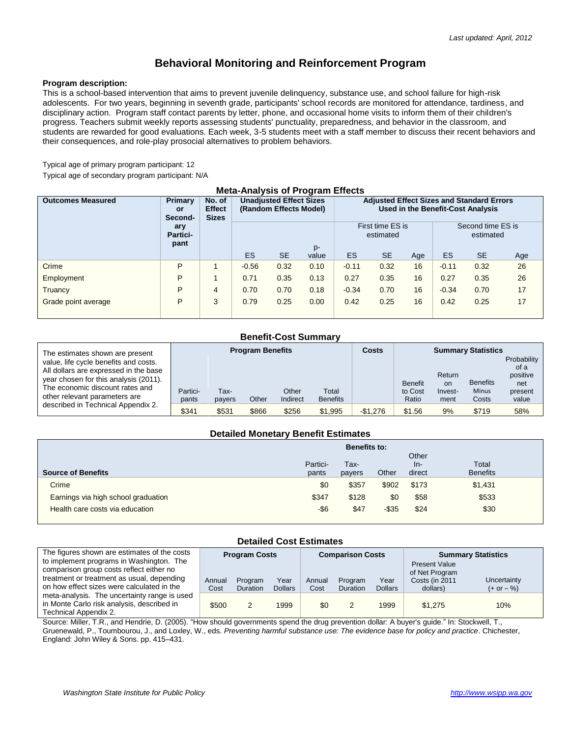# **Behavioral Monitoring and Reinforcement Program**

#### **Program description:**

This is a school-based intervention that aims to prevent juvenile delinquency, substance use, and school failure for high-risk adolescents. For two years, beginning in seventh grade, participants' school records are monitored for attendance, tardiness, and disciplinary action. Program staff contact parents by letter, phone, and occasional home visits to inform them of their children's progress. Teachers submit weekly reports assessing students' punctuality, preparedness, and behavior in the classroom, and students are rewarded for good evaluations. Each week, 3-5 students meet with a staff member to discuss their recent behaviors and their consequences, and role-play prosocial alternatives to problem behaviors.

Typical age of primary program participant: 12

Typical age of secondary program participant: N/A

| <b>Meta-Analysis of Program Effects</b> |                                 |                                         |                                                                |           |       |                                                                                       |           |     |                                |           |     |
|-----------------------------------------|---------------------------------|-----------------------------------------|----------------------------------------------------------------|-----------|-------|---------------------------------------------------------------------------------------|-----------|-----|--------------------------------|-----------|-----|
| <b>Outcomes Measured</b>                | Primary<br><b>or</b><br>Second- | No. of<br><b>Effect</b><br><b>Sizes</b> | <b>Unadjusted Effect Sizes</b><br>(Random Effects Model)<br>p- |           |       | <b>Adjusted Effect Sizes and Standard Errors</b><br>Used in the Benefit-Cost Analysis |           |     |                                |           |     |
|                                         | ary<br>Partici-<br>pant         |                                         |                                                                |           |       | First time ES is<br>estimated                                                         |           |     | Second time ES is<br>estimated |           |     |
|                                         |                                 |                                         | ES                                                             | <b>SE</b> | value | ES                                                                                    | <b>SE</b> | Age | ES                             | <b>SE</b> | Age |
| Crime                                   | P                               |                                         | $-0.56$                                                        | 0.32      | 0.10  | $-0.11$                                                                               | 0.32      | 16  | $-0.11$                        | 0.32      | 26  |
| Employment                              | P                               |                                         | 0.71                                                           | 0.35      | 0.13  | 0.27                                                                                  | 0.35      | 16  | 0.27                           | 0.35      | 26  |
| Truancy                                 | P                               | 4                                       | 0.70                                                           | 0.70      | 0.18  | $-0.34$                                                                               | 0.70      | 16  | $-0.34$                        | 0.70      | 17  |
| Grade point average                     | P                               | 3                                       | 0.79                                                           | 0.25      | 0.00  | 0.42                                                                                  | 0.25      | 16  | 0.42                           | 0.25      | 17  |

# **Benefit-Cost Summary**

| The estimates shown are present                                                                                                                                                             | <b>Program Benefits</b> |                |       |                   | <b>Costs</b>             | <b>Summary Statistics</b> |                                    |                                 |                                          |                                                            |
|---------------------------------------------------------------------------------------------------------------------------------------------------------------------------------------------|-------------------------|----------------|-------|-------------------|--------------------------|---------------------------|------------------------------------|---------------------------------|------------------------------------------|------------------------------------------------------------|
| value, life cycle benefits and costs.<br>All dollars are expressed in the base<br>year chosen for this analysis (2011).<br>The economic discount rates and<br>other relevant parameters are | Partici-<br>pants       | Тах-<br>payers | Other | Other<br>Indirect | Total<br><b>Benefits</b> |                           | <b>Benefit</b><br>to Cost<br>Ratio | Return<br>on<br>Invest-<br>ment | <b>Benefits</b><br><b>Minus</b><br>Costs | Probability<br>of a<br>positive<br>net<br>present<br>value |
| described in Technical Appendix 2.                                                                                                                                                          | \$341                   | \$531          | \$866 | \$256             | \$1,995                  | $-$1.276$                 | \$1.56                             | 9%                              | \$719                                    | 58%                                                        |

#### **Detailed Monetary Benefit Estimates**

|                                     | <b>Benefits to:</b> |                |          |                          |                          |  |  |
|-------------------------------------|---------------------|----------------|----------|--------------------------|--------------------------|--|--|
| <b>Source of Benefits</b>           | Partici-<br>pants   | Tax-<br>payers | Other    | Other<br>$In-$<br>direct | Total<br><b>Benefits</b> |  |  |
| Crime                               | \$0                 | \$357          | \$902    | \$173                    | \$1,431                  |  |  |
| Earnings via high school graduation | \$347               | \$128          | \$0      | \$58                     | \$533                    |  |  |
| Health care costs via education     | -\$6                | \$47           | $-$ \$35 | \$24                     | \$30                     |  |  |

## **Detailed Cost Estimates**

| The figures shown are estimates of the costs                                               | <b>Program Costs</b> |                 |                | <b>Comparison Costs</b> |          |                | <b>Summary Statistics</b>        |              |  |
|--------------------------------------------------------------------------------------------|----------------------|-----------------|----------------|-------------------------|----------|----------------|----------------------------------|--------------|--|
| to implement programs in Washington. The<br>comparison group costs reflect either no       |                      |                 |                |                         |          |                | <b>Present Value</b>             |              |  |
| treatment or treatment as usual, depending                                                 | Annual               | Program         | Year           | Annual                  | Program  | Year           | of Net Program<br>Costs (in 2011 | Uncertainty  |  |
| on how effect sizes were calculated in the                                                 | Cost                 | <b>Duration</b> | <b>Dollars</b> | Cost                    | Duration | <b>Dollars</b> | dollars)                         | $(+ or - %)$ |  |
| meta-analysis. The uncertainty range is used<br>in Monte Carlo risk analysis, described in |                      |                 |                |                         |          |                |                                  |              |  |
| Technical Appendix 2.                                                                      | \$500                |                 | 1999           | \$0                     |          | 1999           | \$1,275                          | 10%          |  |

Source: Miller, T.R., and Hendrie, D. (2005). "How should governments spend the drug prevention dollar: A buyer's guide." In: Stockwell, T., Gruenewald, P., Toumbourou, J., and Loxley, W., eds. *Preventing harmful substance use: The evidence base for policy and practice*. Chichester, England: John Wiley & Sons. pp. 415–431.